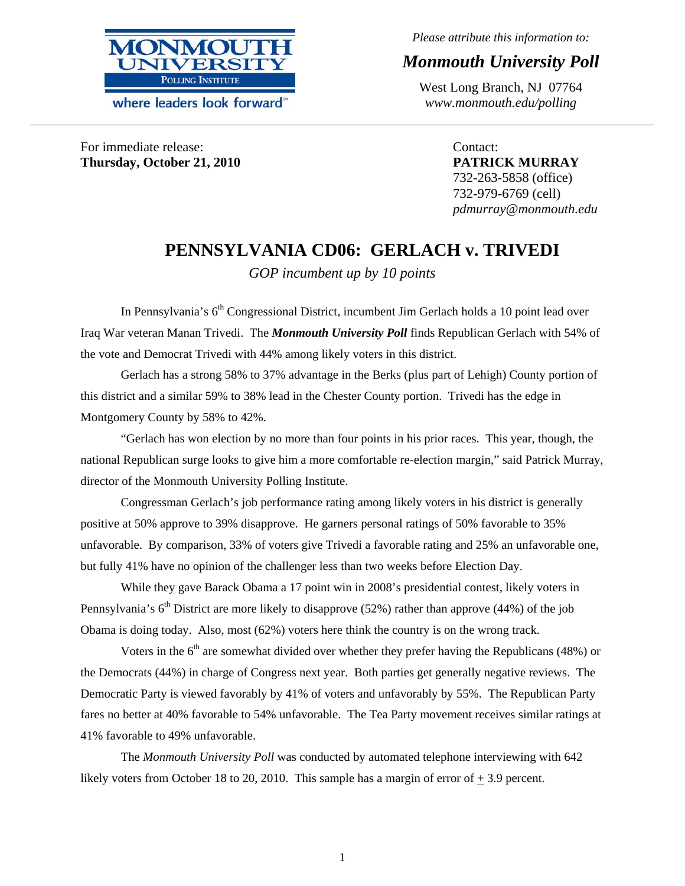

where leaders look forward

*Please attribute this information to:* 

# *Monmouth University Poll*

West Long Branch, NJ 07764 *www.monmouth.edu/polling*

For immediate release: **Thursday, October 21, 2010** 

Contact: **PATRICK MURRAY**  732-263-5858 (office) 732-979-6769 (cell) *pdmurray@monmouth.edu* 

# **PENNSYLVANIA CD06: GERLACH v. TRIVEDI**

*GOP incumbent up by 10 points* 

**\_\_\_\_\_\_\_\_\_\_\_\_\_\_\_\_\_\_\_\_\_\_\_\_\_\_\_\_\_\_\_\_\_\_\_\_\_\_\_\_\_\_\_\_\_\_\_\_\_\_\_\_\_\_\_\_\_\_\_\_\_\_\_\_\_\_\_\_\_\_\_\_\_\_\_\_\_\_\_\_\_\_\_\_\_\_\_\_\_\_\_\_\_\_\_\_\_\_\_\_\_\_\_\_\_\_\_\_\_\_\_\_\_\_\_\_\_\_\_\_\_\_\_\_\_\_\_\_\_\_\_\_\_\_\_\_\_\_\_\_\_\_\_\_\_\_\_\_\_\_\_\_\_\_\_\_\_\_\_\_\_\_\_\_\_\_\_\_\_\_\_\_\_\_\_\_\_\_\_\_\_\_\_\_\_\_\_\_\_\_\_\_\_\_\_\_\_\_\_\_\_\_\_\_\_\_\_\_\_\_\_\_\_\_\_\_\_\_\_\_\_\_\_\_\_\_\_\_\_\_\_\_\_\_\_\_\_\_\_\_\_\_\_\_\_\_\_\_\_\_\_\_\_\_\_\_\_\_\_\_\_\_\_\_\_\_\_\_\_\_\_\_\_\_\_\_\_\_\_** 

In Pennsylvania's  $6<sup>th</sup>$  Congressional District, incumbent Jim Gerlach holds a 10 point lead over Iraq War veteran Manan Trivedi. The *Monmouth University Poll* finds Republican Gerlach with 54% of the vote and Democrat Trivedi with 44% among likely voters in this district.

 Gerlach has a strong 58% to 37% advantage in the Berks (plus part of Lehigh) County portion of this district and a similar 59% to 38% lead in the Chester County portion. Trivedi has the edge in Montgomery County by 58% to 42%.

 "Gerlach has won election by no more than four points in his prior races. This year, though, the national Republican surge looks to give him a more comfortable re-election margin," said Patrick Murray, director of the Monmouth University Polling Institute.

Congressman Gerlach's job performance rating among likely voters in his district is generally positive at 50% approve to 39% disapprove. He garners personal ratings of 50% favorable to 35% unfavorable. By comparison, 33% of voters give Trivedi a favorable rating and 25% an unfavorable one, but fully 41% have no opinion of the challenger less than two weeks before Election Day.

While they gave Barack Obama a 17 point win in 2008's presidential contest, likely voters in Pennsylvania's  $6<sup>th</sup>$  District are more likely to disapprove (52%) rather than approve (44%) of the job Obama is doing today. Also, most (62%) voters here think the country is on the wrong track.

Voters in the  $6<sup>th</sup>$  are somewhat divided over whether they prefer having the Republicans (48%) or the Democrats (44%) in charge of Congress next year. Both parties get generally negative reviews. The Democratic Party is viewed favorably by 41% of voters and unfavorably by 55%. The Republican Party fares no better at 40% favorable to 54% unfavorable. The Tea Party movement receives similar ratings at 41% favorable to 49% unfavorable.

The *Monmouth University Poll* was conducted by automated telephone interviewing with 642 likely voters from October 18 to 20, 2010. This sample has a margin of error of  $+3.9$  percent.

1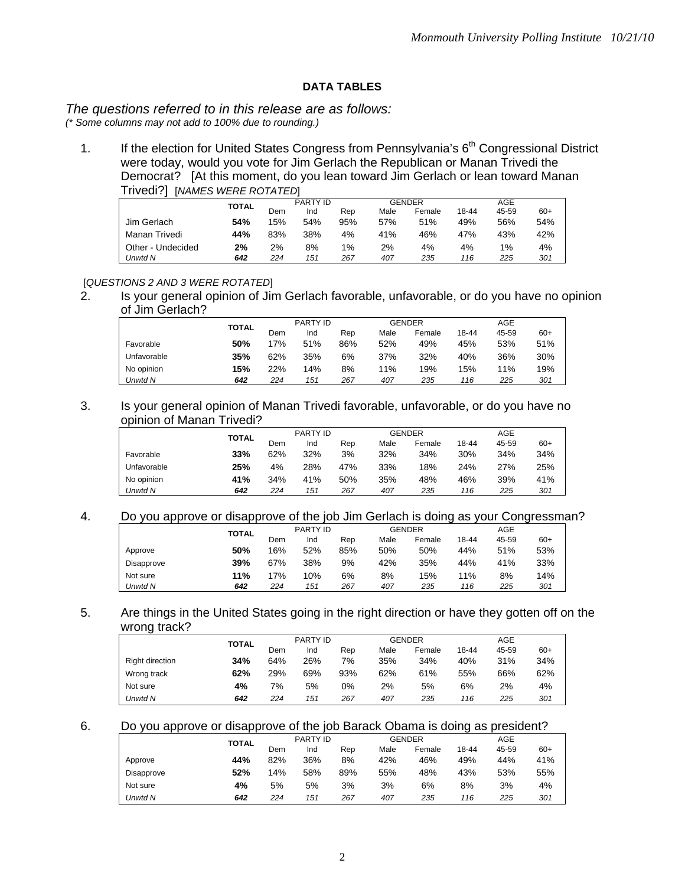# **DATA TABLES**

# *The questions referred to in this release are as follows:*

*(\* Some columns may not add to 100% due to rounding.)* 

1. If the election for United States Congress from Pennsylvania's 6<sup>th</sup> Congressional District were today, would you vote for Jim Gerlach the Republican or Manan Trivedi the Democrat? [At this moment, do you lean toward Jim Gerlach or lean toward Manan Trivedi?] [*NAMES WERE ROTATED*]

|                   |              |     | PARTY ID |     |      | <b>GENDER</b> |       | AGE   |       |
|-------------------|--------------|-----|----------|-----|------|---------------|-------|-------|-------|
|                   | <b>TOTAL</b> | Dem | Ind      | Rep | Male | Female        | 18-44 | 45-59 | $60+$ |
| Jim Gerlach       | 54%          | 15% | 54%      | 95% | 57%  | 51%           | 49%   | 56%   | 54%   |
| Manan Trivedi     | 44%          | 83% | 38%      | 4%  | 41%  | 46%           | 47%   | 43%   | 42%   |
| Other - Undecided | 2%           | 2%  | 8%       | 1%  | 2%   | 4%            | 4%    | 1%    | 4%    |
| Unwtd N           | 642          | 224 | 151      | 267 | 407  | 235           | 116   | 225   | 301   |

## [*QUESTIONS 2 AND 3 WERE ROTATED*]

2. Is your general opinion of Jim Gerlach favorable, unfavorable, or do you have no opinion of Jim Gerlach?

|             | TOTAL |     | PARTY ID |     |      | <b>GENDER</b> |       | AGE   |       |
|-------------|-------|-----|----------|-----|------|---------------|-------|-------|-------|
|             |       | Dem | Ind      | Rep | Male | Female        | 18-44 | 45-59 | $60+$ |
| Favorable   | 50%   | 17% | 51%      | 86% | 52%  | 49%           | 45%   | 53%   | 51%   |
| Unfavorable | 35%   | 62% | 35%      | 6%  | 37%  | 32%           | 40%   | 36%   | 30%   |
| No opinion  | 15%   | 22% | 14%      | 8%  | 11%  | 19%           | 15%   | 11%   | 19%   |
| Unwtd N     | 642   | 224 | 151      | 267 | 407  | 235           | 116   | 225   | 301   |

#### 3. Is your general opinion of Manan Trivedi favorable, unfavorable, or do you have no opinion of Manan Trivedi?

|             | <b>TOTAL</b> | PARTY ID<br><b>GENDER</b> |     |     |      | AGE    |       |       |       |
|-------------|--------------|---------------------------|-----|-----|------|--------|-------|-------|-------|
|             |              | Dem                       | Ind | Rep | Male | Female | 18-44 | 45-59 | $60+$ |
| Favorable   | 33%          | 62%                       | 32% | 3%  | 32%  | 34%    | 30%   | 34%   | 34%   |
| Unfavorable | 25%          | 4%                        | 28% | 47% | 33%  | 18%    | 24%   | 27%   | 25%   |
| No opinion  | 41%          | 34%                       | 41% | 50% | 35%  | 48%    | 46%   | 39%   | 41%   |
| Unwtd N     | 642          | 224                       | 151 | 267 | 407  | 235    | 116   | 225   | 301   |

#### 4. Do you approve or disapprove of the job Jim Gerlach is doing as your Congressman?

|            | <b>TOTAL</b> | PARTY ID |     |     | <b>GENDER</b> |        | AGE   |       |       |
|------------|--------------|----------|-----|-----|---------------|--------|-------|-------|-------|
|            |              | Dem      | Ind | Rep | Male          | Female | 18-44 | 45-59 | $60+$ |
| Approve    | 50%          | 16%      | 52% | 85% | 50%           | 50%    | 44%   | 51%   | 53%   |
| Disapprove | 39%          | 67%      | 38% | 9%  | 42%           | 35%    | 44%   | 41%   | 33%   |
| Not sure   | 11%          | 17%      | 10% | 6%  | 8%            | 15%    | 11%   | 8%    | 14%   |
| Unwtd N    | 642          | 224      | 151 | 267 | 407           | 235    | 116   | 225   | 301   |

### 5. Are things in the United States going in the right direction or have they gotten off on the wrong track?

|                 | <b>TOTAL</b> |     | PARTY ID |     |      | <b>GENDER</b> |       | AGE   |       |
|-----------------|--------------|-----|----------|-----|------|---------------|-------|-------|-------|
|                 |              | Dem | Ind      | Rep | Male | Female        | 18-44 | 45-59 | $60+$ |
| Right direction | 34%          | 64% | 26%      | 7%  | 35%  | 34%           | 40%   | 31%   | 34%   |
| Wrong track     | 62%          | 29% | 69%      | 93% | 62%  | 61%           | 55%   | 66%   | 62%   |
| Not sure        | 4%           | 7%  | 5%       | 0%  | 2%   | 5%            | 6%    | 2%    | 4%    |
| Unwtd N         | 642          | 224 | 151      | 267 | 407  | 235           | 116   | 225   | 301   |

### 6. Do you approve or disapprove of the job Barack Obama is doing as president?

|            | <b>TOTAL</b> |     | PARTY ID |     |      | <b>GENDER</b> |       | AGE   |       |
|------------|--------------|-----|----------|-----|------|---------------|-------|-------|-------|
|            |              | Dem | Ind      | Rep | Male | Female        | 18-44 | 45-59 | $60+$ |
| Approve    | 44%          | 82% | 36%      | 8%  | 42%  | 46%           | 49%   | 44%   | 41%   |
| Disapprove | 52%          | 14% | 58%      | 89% | 55%  | 48%           | 43%   | 53%   | 55%   |
| Not sure   | 4%           | 5%  | 5%       | 3%  | 3%   | 6%            | 8%    | 3%    | 4%    |
| Unwtd N    | 642          | 224 | 151      | 267 | 407  | 235           | 116   | 225   | 301   |